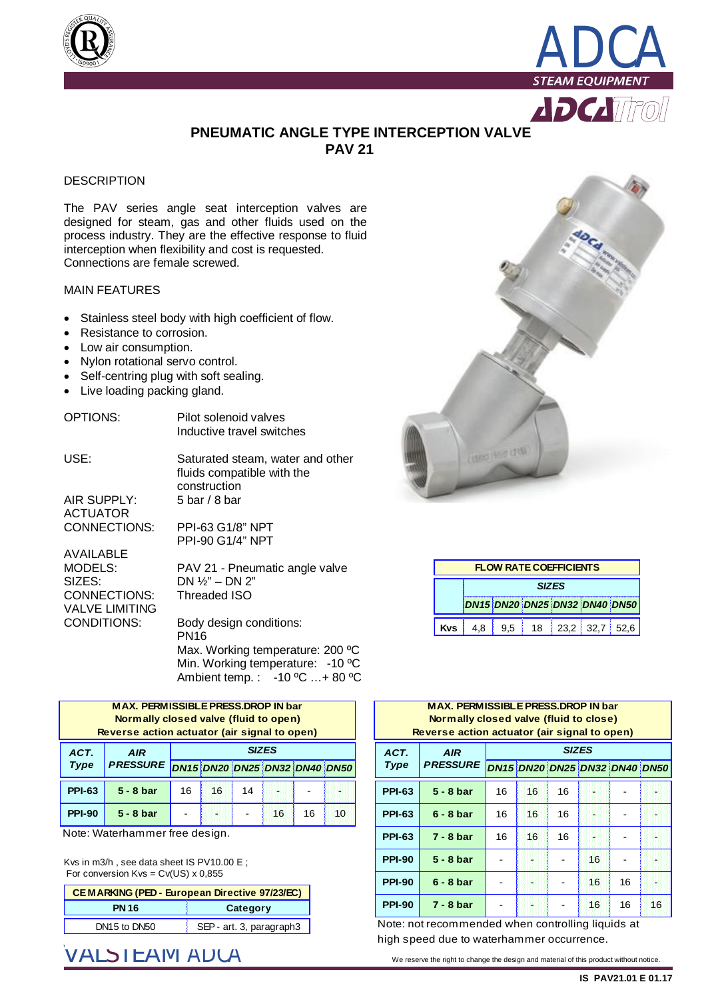



# **PNEUMATIC ANGLE TYPE INTERCEPTION VALVE PAV 21**

### **DESCRIPTION**

The PAV series angle seat interception valves are designed for steam, gas and other fluids used on the process industry. They are the effective response to fluid interception when flexibility and cost is requested. Connections are female screwed.

#### MAIN FEATURES

- Stainless steel body with high coefficient of flow.
- Resistance to corrosion.
- Low air consumption.
- Nylon rotational servo control.
- Self-centring plug with soft sealing.
- Live loading packing gland.

| <b>OPTIONS:</b> | Pilot solenoid valves<br>Inductive travel switches                             |
|-----------------|--------------------------------------------------------------------------------|
| USE:            | Saturated steam, water and other<br>fluids compatible with the<br>construction |
| AIR SUPPLY:     | 5 bar / 8 bar                                                                  |
| <b>ACTUATOR</b> |                                                                                |
| CONNECTIONS:    | PPI-63 G1/8" NPT                                                               |
|                 | <b>PPI-90 G1/4" NPT</b>                                                        |
| AVAILABLE       |                                                                                |
| MODELS:         | PAV 21 - Pneumatic angle valve                                                 |
| SIZES.          | י <i>יר</i> וחח _ יי.1 וחח                                                     |

SIZES: DN ½" – DN 2" CONNECTIONS: VALVE LIMITING CONDITIONS: Body design conditions:

de valve

PN16 Max. Working temperature: 200 ºC Min. Working temperature: - 10 °C Ambient temp. : -10 ºC …+ 80 ºC

| <b>MAX. PERMISSIBLE PRESS.DROP IN bar</b><br>Normally closed valve (fluid to open)<br>Reverse action actuator (air signal to open) |                 |              |    |    |    |    |                               |  |  |
|------------------------------------------------------------------------------------------------------------------------------------|-----------------|--------------|----|----|----|----|-------------------------------|--|--|
| ACT.                                                                                                                               | <b>AIR</b>      | <b>SIZES</b> |    |    |    |    |                               |  |  |
| <b>Type</b>                                                                                                                        | <b>PRESSURE</b> |              |    |    |    |    | DN15 DN20 DN25 DN32 DN40 DN50 |  |  |
| <b>PPI-63</b>                                                                                                                      | $5 - 8$ bar     | 16           | 16 | 14 |    |    |                               |  |  |
| <b>PPI-90</b>                                                                                                                      | $5 - 8$ bar     |              |    |    | 16 | 16 | 10                            |  |  |

Note: Waterhammer free design.

Kvs in m3/h , see data sheet IS PV10.00 E ; For conversion  $Kvs = Cv(US) \times 0,855$ 

| <b>CEMARKING (PED - European Directive 97/23/EC)</b> |                          |  |  |  |  |
|------------------------------------------------------|--------------------------|--|--|--|--|
| <b>PN 16</b>                                         | Category                 |  |  |  |  |
| DN <sub>15</sub> to DN <sub>50</sub>                 | SEP - art. 3, paragraph3 |  |  |  |  |

 $\text{VALS}$  | <code>EAIVI</code>  $\bm{A}\bm{D}\bm{C}\bm{A}$   $\blacksquare$   $\blacksquare$  we reserve the right to change the design and material of this product without notice.



| <b>FLOW RATE COEFFICIENTS</b> |              |                               |    |  |                |  |  |  |  |
|-------------------------------|--------------|-------------------------------|----|--|----------------|--|--|--|--|
|                               | <b>SIZES</b> |                               |    |  |                |  |  |  |  |
|                               |              | DN15 DN20 DN25 DN32 DN40 DN50 |    |  |                |  |  |  |  |
| Kvs.                          | 4.8          | 9.5                           | 18 |  | 23.2 32.7 52.6 |  |  |  |  |

| <b>MAX. PERMISSIBLE PRESS, DROP IN bar</b><br>Normally closed valve (fluid to close)<br>Reverse action actuator (air signal to open) |                            |    |    |    |    |                               |    |  |  |  |
|--------------------------------------------------------------------------------------------------------------------------------------|----------------------------|----|----|----|----|-------------------------------|----|--|--|--|
| ACT.                                                                                                                                 | <b>SIZES</b><br><b>AIR</b> |    |    |    |    |                               |    |  |  |  |
| <b>Type</b>                                                                                                                          | <b>PRESSURE</b>            |    |    |    |    | DN15 DN20 DN25 DN32 DN40 DN50 |    |  |  |  |
| <b>PPI-63</b>                                                                                                                        | $5 - 8$ bar                | 16 | 16 | 16 |    |                               |    |  |  |  |
| <b>PPI-63</b>                                                                                                                        | $6 - 8$ bar                | 16 | 16 | 16 |    |                               |    |  |  |  |
| <b>PPI-63</b>                                                                                                                        | $7 - 8$ bar                | 16 | 16 | 16 |    |                               |    |  |  |  |
| <b>PPI-90</b>                                                                                                                        | $5 - 8$ bar                |    |    |    | 16 |                               |    |  |  |  |
| <b>PPI-90</b>                                                                                                                        | $6 - 8$ bar                |    |    |    | 16 | 16                            |    |  |  |  |
| <b>PPI-90</b>                                                                                                                        | $7 - 8$ bar                |    |    |    | 16 | 16                            | 16 |  |  |  |

Note: not recommended when controlling liquids at high speed due to waterhammer occurrence.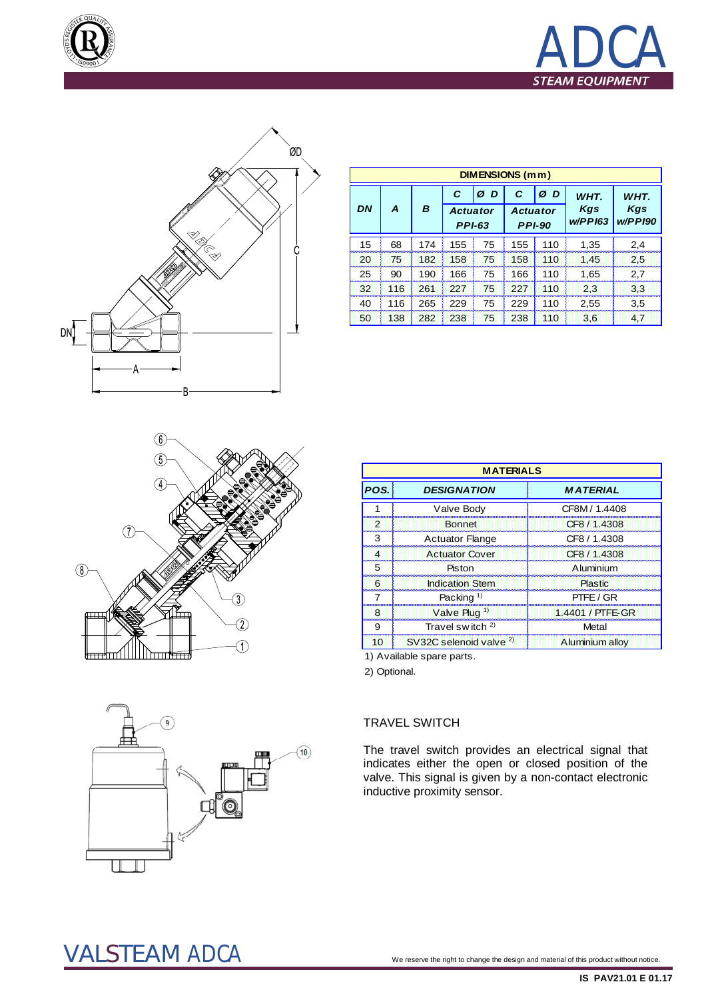





|    | <b>DIMENSIONS (mm)</b> |     |     |                                  |                 |               |                   |                               |  |  |
|----|------------------------|-----|-----|----------------------------------|-----------------|---------------|-------------------|-------------------------------|--|--|
|    |                        |     | C   | Ø<br>D                           | C               | Ø<br>D        | WHT.              | WHT.<br><b>Kgs</b><br>w/PPI90 |  |  |
| DN | A                      | B   |     | <b>Actuator</b><br><b>PPI-63</b> | <b>Actuator</b> | <b>PPI-90</b> | Kgs<br>$W/PP$ 163 |                               |  |  |
| 15 | 68                     | 174 | 155 | 75                               | 155             | 110           | 1,35              | 2,4                           |  |  |
| 20 | 75                     | 182 | 158 | 75                               | 158             | 110           | 1,45              | 2,5                           |  |  |
| 25 | 90                     | 190 | 166 | 75                               | 166             | 110           | 1,65              | 2,7                           |  |  |
| 32 | 116                    | 261 | 227 | 75                               | 227             | 110           | 2,3               | 3,3                           |  |  |
| 40 | 116                    | 265 | 229 | 75                               | 229             | 110           | 2,55              | 3,5                           |  |  |
| 50 | 138                    | 282 | 238 | 75                               | 238             | 110           | 3,6               | 4,7                           |  |  |



| <b>MATERIALS</b> |                                    |                  |  |  |  |  |
|------------------|------------------------------------|------------------|--|--|--|--|
| POS.             | <b>DESIGNATION</b>                 | <b>MATERIAL</b>  |  |  |  |  |
|                  | Valve Body                         | CF8M / 1.4408    |  |  |  |  |
| $\overline{2}$   | <b>Bonnet</b>                      | CF8 / 1.4308     |  |  |  |  |
| 3                | <b>Actuator Flange</b>             | CF8 / 1.4308     |  |  |  |  |
| $\overline{4}$   | <b>Actuator Cover</b>              | CF8 / 1.4308     |  |  |  |  |
| 5                | Piston                             | Aluminium        |  |  |  |  |
| 6                | <b>Indication Stem</b>             | <b>Plastic</b>   |  |  |  |  |
| 7                | Packing <sup>1)</sup>              | PTFE / GR        |  |  |  |  |
| 8                | Valve Plug <sup>1)</sup>           | 1.4401 / PTFE-GR |  |  |  |  |
| 9                | Travel switch $2$ )                | Metal            |  |  |  |  |
| 10               | SV32C selenoid valve <sup>2)</sup> | Aluminium alloy  |  |  |  |  |

1) Available spare parts.

2) Optional.

## TRAVEL SWITCH

The travel switch provides an electrical signal that indicates either the open or closed position of the valve. This signal is given by a non-contact electronic inductive proximity sensor.



# VALSTEAM *ADCA* We reserve the right to change the design and material of this product without notice.